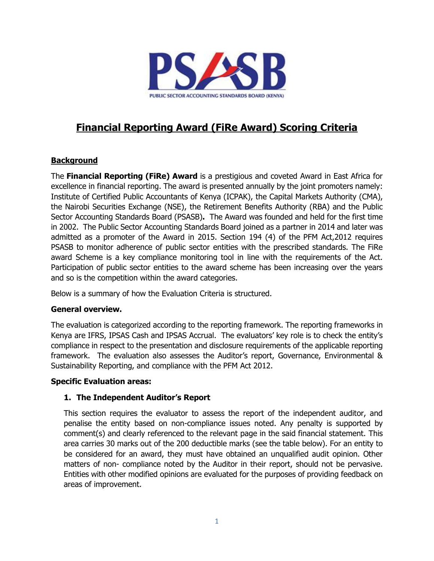

# **Financial Reporting Award (FiRe Award) Scoring Criteria**

# **Background**

The **Financial Reporting (FiRe) Award** is a prestigious and coveted Award in East Africa for excellence in financial reporting. The award is presented annually by the joint promoters namely: Institute of Certified Public Accountants of Kenya (ICPAK), the Capital Markets Authority (CMA), the Nairobi Securities Exchange (NSE), the Retirement Benefits Authority (RBA) and the Public Sector Accounting Standards Board (PSASB)**.** The Award was founded and held for the first time in 2002. The Public Sector Accounting Standards Board joined as a partner in 2014 and later was admitted as a promoter of the Award in 2015. Section 194 (4) of the PFM Act,2012 requires PSASB to monitor adherence of public sector entities with the prescribed standards. The FiRe award Scheme is a key compliance monitoring tool in line with the requirements of the Act. Participation of public sector entities to the award scheme has been increasing over the years and so is the competition within the award categories.

Below is a summary of how the Evaluation Criteria is structured.

## **General overview.**

The evaluation is categorized according to the reporting framework. The reporting frameworks in Kenya are IFRS, IPSAS Cash and IPSAS Accrual. The evaluators' key role is to check the entity's compliance in respect to the presentation and disclosure requirements of the applicable reporting framework. The evaluation also assesses the Auditor's report, Governance, Environmental & Sustainability Reporting, and compliance with the PFM Act 2012.

## **Specific Evaluation areas:**

## **1. The Independent Auditor's Report**

This section requires the evaluator to assess the report of the independent auditor, and penalise the entity based on non-compliance issues noted. Any penalty is supported by comment(s) and clearly referenced to the relevant page in the said financial statement. This area carries 30 marks out of the 200 deductible marks (see the table below). For an entity to be considered for an award, they must have obtained an unqualified audit opinion. Other matters of non- compliance noted by the Auditor in their report, should not be pervasive. Entities with other modified opinions are evaluated for the purposes of providing feedback on areas of improvement.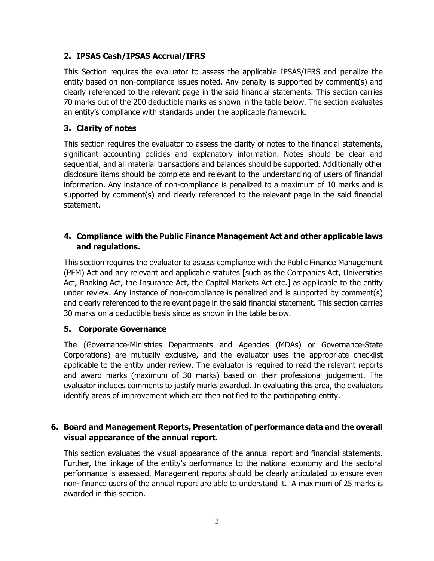# **2. IPSAS Cash/IPSAS Accrual/IFRS**

This Section requires the evaluator to assess the applicable IPSAS/IFRS and penalize the entity based on non-compliance issues noted. Any penalty is supported by comment(s) and clearly referenced to the relevant page in the said financial statements. This section carries 70 marks out of the 200 deductible marks as shown in the table below. The section evaluates an entity's compliance with standards under the applicable framework.

# **3. Clarity of notes**

This section requires the evaluator to assess the clarity of notes to the financial statements, significant accounting policies and explanatory information. Notes should be clear and sequential, and all material transactions and balances should be supported. Additionally other disclosure items should be complete and relevant to the understanding of users of financial information. Any instance of non-compliance is penalized to a maximum of 10 marks and is supported by comment(s) and clearly referenced to the relevant page in the said financial statement.

# **4. Compliance with the Public Finance Management Act and other applicable laws and regulations.**

This section requires the evaluator to assess compliance with the Public Finance Management (PFM) Act and any relevant and applicable statutes [such as the Companies Act, Universities Act, Banking Act, the Insurance Act, the Capital Markets Act etc.] as applicable to the entity under review. Any instance of non-compliance is penalized and is supported by comment(s) and clearly referenced to the relevant page in the said financial statement. This section carries 30 marks on a deductible basis since as shown in the table below.

## **5. Corporate Governance**

The (Governance-Ministries Departments and Agencies (MDAs) or Governance-State Corporations) are mutually exclusive, and the evaluator uses the appropriate checklist applicable to the entity under review. The evaluator is required to read the relevant reports and award marks (maximum of 30 marks) based on their professional judgement. The evaluator includes comments to justify marks awarded. In evaluating this area, the evaluators identify areas of improvement which are then notified to the participating entity.

## **6. Board and Management Reports, Presentation of performance data and the overall visual appearance of the annual report.**

This section evaluates the visual appearance of the annual report and financial statements. Further, the linkage of the entity's performance to the national economy and the sectoral performance is assessed. Management reports should be clearly articulated to ensure even non- finance users of the annual report are able to understand it. A maximum of 25 marks is awarded in this section.